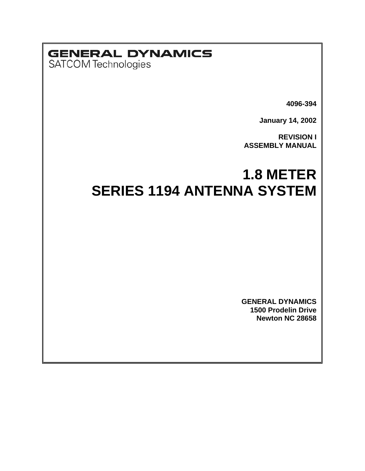# **GENERAL DYNAMICS**

SATCOM Technologies

**4096-394** 

**January 14, 2002** 

**REVISION I ASSEMBLY MANUAL** 

# **1.8 METER SERIES 1194 ANTENNA SYSTEM**

**GENERAL DYNAMICS 1500 Prodelin Drive Newton NC 28658**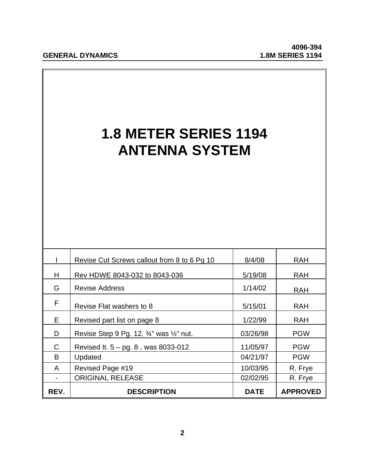# **1.8 METER SERIES 1194 ANTENNA SYSTEM**

|      | Revise Cut Screws callout from 8 to 6 Pg 10                    | 8/4/08      | <b>RAH</b>      |
|------|----------------------------------------------------------------|-------------|-----------------|
| H    | Rev HDWE 8043-032 to 8043-036                                  | 5/19/08     | <b>RAH</b>      |
| G    | <b>Revise Address</b>                                          | 1/14/02     | <b>RAH</b>      |
| F    | Revise Flat washers to 8                                       | 5/15/01     | <b>RAH</b>      |
| E    | Revised part list on page 8                                    | 1/22/99     | <b>RAH</b>      |
| D    | Revise Step 9 Pg. 12. $\frac{3}{4}$ " was $\frac{1}{2}$ " nut. | 03/26/98    | <b>PGW</b>      |
| C    | Revised It. $5 - pg. 8$ , was 8033-012                         | 11/05/97    | <b>PGW</b>      |
| B    | Updated                                                        | 04/21/97    | <b>PGW</b>      |
| A    | Revised Page #19                                               | 10/03/95    | R. Frye         |
|      | <b>ORIGINAL RELEASE</b>                                        | 02/02/95    | R. Frye         |
| REV. | <b>DESCRIPTION</b>                                             | <b>DATE</b> | <b>APPROVED</b> |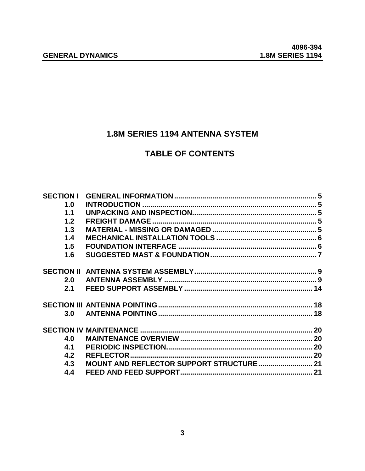# **1.8M SERIES 1194 ANTENNA SYSTEM**

# **TABLE OF CONTENTS**

| <b>SECTION I</b> |  |
|------------------|--|
| 1.0              |  |
| 1.1              |  |
| 1.2              |  |
| 1.3              |  |
| 1.4              |  |
| 1.5              |  |
| 1.6              |  |
|                  |  |
|                  |  |
| 2.0              |  |
| 2.1              |  |
|                  |  |
|                  |  |
|                  |  |
|                  |  |
|                  |  |
| 4.0              |  |
| 4.1              |  |
| 4.2              |  |
| 4.3              |  |
| 4.4              |  |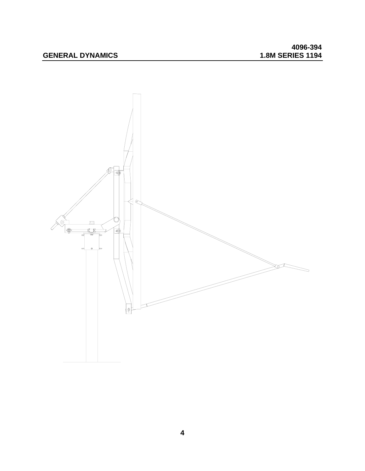# **GENERAL DYNAMICS**

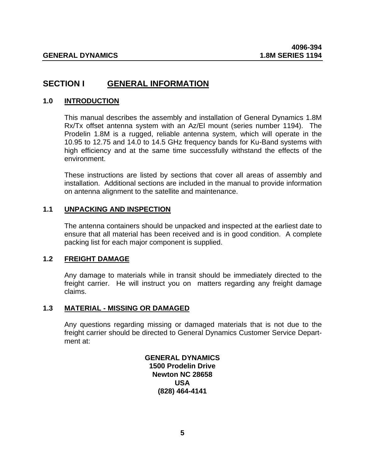# **SECTION I GENERAL INFORMATION**

#### **1.0 INTRODUCTION**

This manual describes the assembly and installation of General Dynamics 1.8M Rx/Tx offset antenna system with an Az/El mount (series number 1194). The Prodelin 1.8M is a rugged, reliable antenna system, which will operate in the 10.95 to 12.75 and 14.0 to 14.5 GHz frequency bands for Ku-Band systems with high efficiency and at the same time successfully withstand the effects of the environment.

These instructions are listed by sections that cover all areas of assembly and installation. Additional sections are included in the manual to provide information on antenna alignment to the satellite and maintenance.

#### **1.1 UNPACKING AND INSPECTION**

The antenna containers should be unpacked and inspected at the earliest date to ensure that all material has been received and is in good condition. A complete packing list for each major component is supplied.

#### **1.2 FREIGHT DAMAGE**

Any damage to materials while in transit should be immediately directed to the freight carrier. He will instruct you on matters regarding any freight damage claims.

#### **1.3 MATERIAL - MISSING OR DAMAGED**

Any questions regarding missing or damaged materials that is not due to the freight carrier should be directed to General Dynamics Customer Service Department at:

> **GENERAL DYNAMICS 1500 Prodelin Drive Newton NC 28658 USA (828) 464-4141**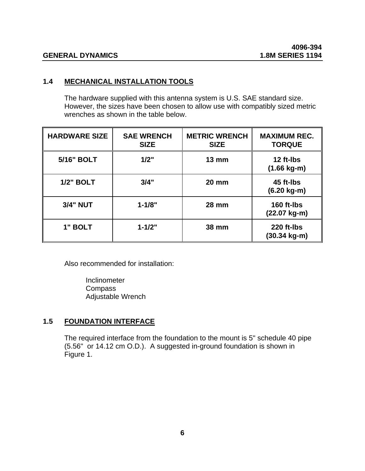### **1.4 MECHANICAL INSTALLATION TOOLS**

The hardware supplied with this antenna system is U.S. SAE standard size. However, the sizes have been chosen to allow use with compatibly sized metric wrenches as shown in the table below.

| <b>HARDWARE SIZE</b> | <b>SAE WRENCH</b><br><b>SIZE</b> | <b>METRIC WRENCH</b><br><b>SIZE</b> | <b>MAXIMUM REC.</b><br><b>TORQUE</b> |
|----------------------|----------------------------------|-------------------------------------|--------------------------------------|
| <b>5/16" BOLT</b>    | 1/2"                             | $13 \text{ mm}$                     | 12 ft-lbs<br>$(1.66 kg-m)$           |
| <b>1/2" BOLT</b>     | 3/4"                             | <b>20 mm</b>                        | 45 ft-lbs<br>$(6.20 kg-m)$           |
| <b>3/4" NUT</b>      | $1 - 1/8"$                       | <b>28 mm</b>                        | 160 ft-lbs<br>(22.07 kg-m)           |
| 1" BOLT              | $1 - 1/2"$                       | <b>38 mm</b>                        | 220 ft-lbs<br>(30.34 kg-m)           |

Also recommended for installation:

Inclinometer Compass Adjustable Wrench

## **1.5 FOUNDATION INTERFACE**

The required interface from the foundation to the mount is 5" schedule 40 pipe (5.56" or 14.12 cm O.D.). A suggested in-ground foundation is shown in Figure 1.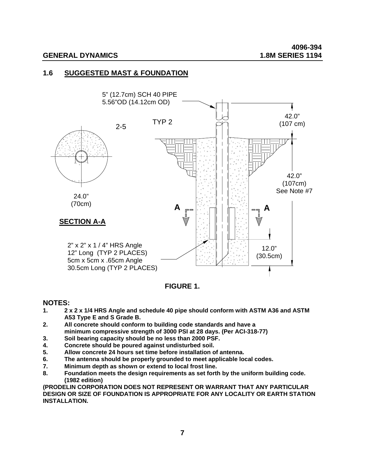#### **1.6 SUGGESTED MAST & FOUNDATION**





#### **NOTES:**

- **1. 2 x 2 x 1/4 HRS Angle and schedule 40 pipe should conform with ASTM A36 and ASTM A53 Type E and S Grade B.**
- **2. All concrete should conform to building code standards and have a minimum compressive strength of 3000 PSI at 28 days. (Per ACI-318-77)**
- **3. Soil bearing capacity should be no less than 2000 PSF.**
- **4. Concrete should be poured against undisturbed soil.**
- **5. Allow concrete 24 hours set time before installation of antenna.**
- **6. The antenna should be properly grounded to meet applicable local codes.**
- **7. Minimum depth as shown or extend to local frost line.**
- **8. Foundation meets the design requirements as set forth by the uniform building code. (1982 edition)**

**(PRODELIN CORPORATION DOES NOT REPRESENT OR WARRANT THAT ANY PARTICULAR DESIGN OR SIZE OF FOUNDATION IS APPROPRIATE FOR ANY LOCALITY OR EARTH STATION INSTALLATION.**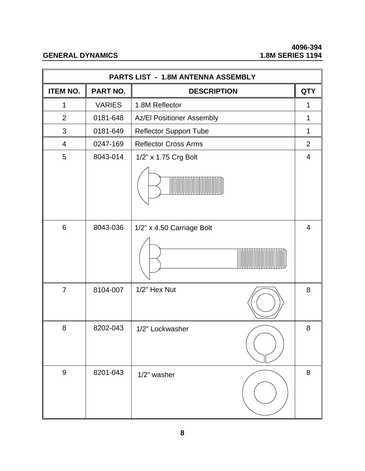# **4096-394**

## **GENERAL DYNAMICS**

| PARTS LIST - 1.8M ANTENNA ASSEMBLY |               |                               |                |  |
|------------------------------------|---------------|-------------------------------|----------------|--|
| <b>ITEM NO.</b>                    | PART NO.      | <b>DESCRIPTION</b>            | <b>QTY</b>     |  |
| 1                                  | <b>VARIES</b> | 1.8M Reflector                | $\mathbf{1}$   |  |
| $\overline{2}$                     | 0181-648      | Az/El Positioner Assembly     | 1              |  |
| 3                                  | 0181-649      | <b>Reflector Support Tube</b> | 1              |  |
| $\overline{4}$                     | 0247-169      | <b>Reflector Cross Arms</b>   | $\overline{2}$ |  |
| 5                                  | 8043-014      | 1/2" x 1.75 Crg Bolt          | $\overline{4}$ |  |
| $6\phantom{1}$                     | 8043-036      | 1/2" x 4.50 Carriage Bolt     | $\overline{4}$ |  |
| $\overline{7}$                     | 8104-007      | 1/2" Hex Nut                  | 8              |  |
| 8                                  | 8202-043      | 1/2" Lockwasher               | 8              |  |
| $\boldsymbol{9}$                   | 8201-043      | 1/2" washer                   | 8              |  |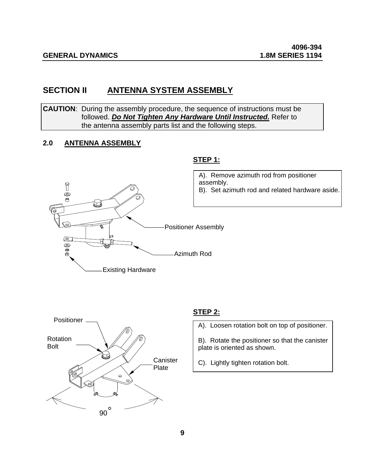# **SECTION II ANTENNA SYSTEM ASSEMBLY**

**CAUTION**: During the assembly procedure, the sequence of instructions must be followed. *Do Not Tighten Any Hardware Until Instructed.* Refer to the antenna assembly parts list and the following steps.

#### **2.0 ANTENNA ASSEMBLY**



### **STEP 1:**

A). Remove azimuth rod from positioner assembly.

B). Set azimuth rod and related hardware aside.



#### **STEP 2:**

A). Loosen rotation bolt on top of positioner.

B). Rotate the positioner so that the canister plate is oriented as shown.

C). Lightly tighten rotation bolt.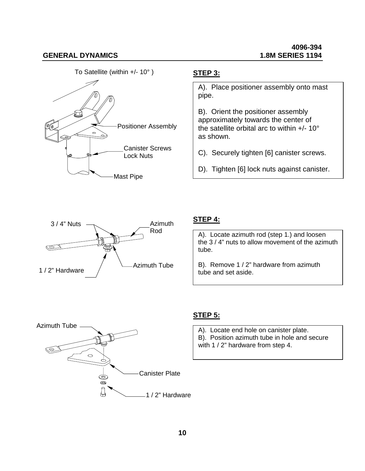

A). Place positioner assembly onto mast pipe.

B). Orient the positioner assembly approximately towards the center of the satellite orbital arc to within  $+/- 10^{\circ}$ as shown.

- C). Securely tighten [6] canister screws.
- D). Tighten [6] lock nuts against canister.



A). Locate azimuth rod (step 1.) and loosen the 3 / 4" nuts to allow movement of the azimuth tube.



#### **STEP 5:**

A). Locate end hole on canister plate. B). Position azimuth tube in hole and secure with 1 / 2" hardware from step 4.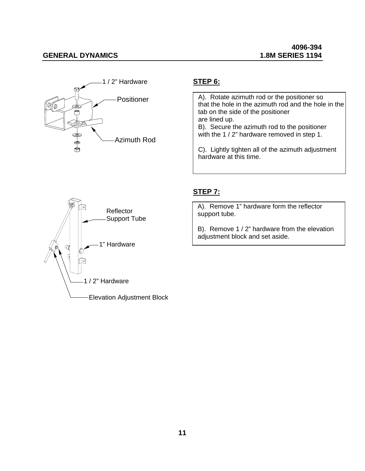

A). Rotate azimuth rod or the positioner so that the hole in the azimuth rod and the hole in the tab on the side of the positioner are lined up. B). Secure the azimuth rod to the positioner with the 1 / 2" hardware removed in step 1.

C). Lightly tighten all of the azimuth adjustment hardware at this time.



#### **STEP 7:**

A). Remove 1" hardware form the reflector support tube.

B). Remove 1 / 2" hardware from the elevation adjustment block and set aside.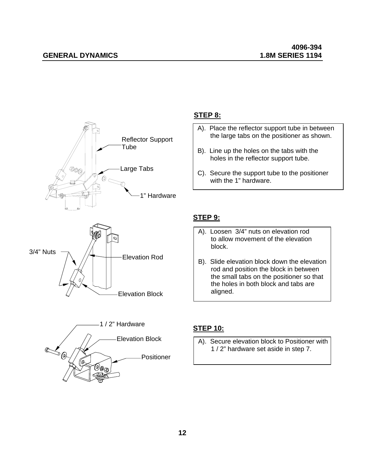

## **STEP 8:**

- A). Place the reflector support tube in between the large tabs on the positioner as shown.
- B). Line up the holes on the tabs with the holes in the reflector support tube.
- C). Secure the support tube to the positioner with the 1" hardware.

#### **STEP 9:**

- A). Loosen 3/4" nuts on elevation rod to allow movement of the elevation block.
- B). Slide elevation block down the elevation rod and position the block in between the small tabs on the positioner so that the holes in both block and tabs are aligned.



#### **STEP 10:**

 A). Secure elevation block to Positioner with 1 / 2" hardware set aside in step 7.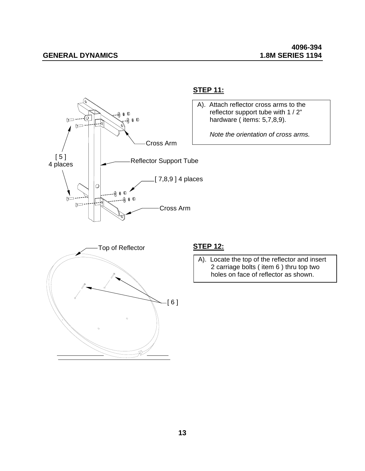

# **STEP 11:**

A). Attach reflector cross arms to the reflector support tube with 1 / 2" hardware (items: 5,7,8,9).

*Note the orientation of cross arms.*



 A). Locate the top of the reflector and insert 2 carriage bolts ( item 6 ) thru top two holes on face of reflector as shown.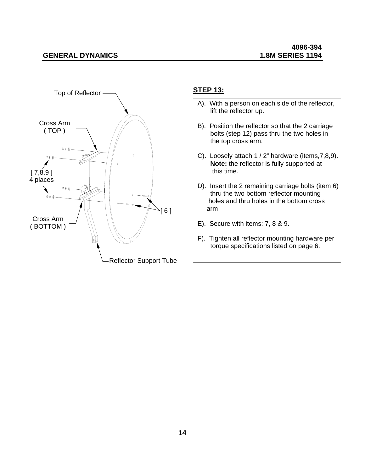

### **STEP 13:**

- A). With a person on each side of the reflector, lift the reflector up.
- B). Position the reflector so that the 2 carriage bolts (step 12) pass thru the two holes in the top cross arm.
- C). Loosely attach 1 / 2" hardware (items,7,8,9). **Note:** the reflector is fully supported at this time.
- D). Insert the 2 remaining carriage bolts (item 6) thru the two bottom reflector mounting holes and thru holes in the bottom cross arm
- E). Secure with items: 7, 8 & 9.
- F). Tighten all reflector mounting hardware per torque specifications listed on page 6.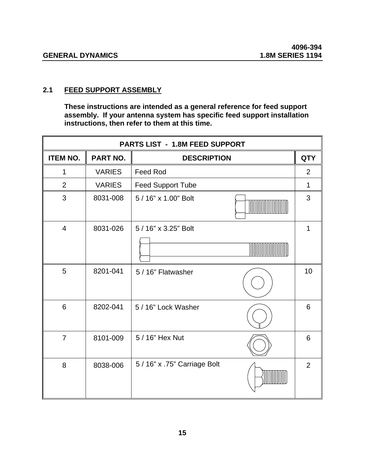### **2.1 FEED SUPPORT ASSEMBLY**

 **These instructions are intended as a general reference for feed support assembly. If your antenna system has specific feed support installation instructions, then refer to them at this time.**

| PARTS LIST - 1.8M FEED SUPPORT |                 |                              |  |                |
|--------------------------------|-----------------|------------------------------|--|----------------|
| <b>ITEM NO.</b>                | <b>PART NO.</b> | <b>DESCRIPTION</b>           |  | <b>QTY</b>     |
| $\mathbf 1$                    | <b>VARIES</b>   | <b>Feed Rod</b>              |  | $\overline{2}$ |
| $\overline{2}$                 | <b>VARIES</b>   | <b>Feed Support Tube</b>     |  | $\mathbf{1}$   |
| 3                              | 8031-008        | 5 / 16" x 1.00" Bolt         |  | 3              |
| $\overline{4}$                 | 8031-026        | 5 / 16" x 3.25" Bolt         |  | 1              |
|                                |                 |                              |  |                |
| 5                              | 8201-041        | 5 / 16" Flatwasher           |  | 10             |
| 6                              | 8202-041        | 5 / 16" Lock Washer          |  | 6              |
| $\overline{7}$                 | 8101-009        | 5 / 16" Hex Nut              |  | 6              |
| 8                              | 8038-006        | 5 / 16" x .75" Carriage Bolt |  | $\overline{2}$ |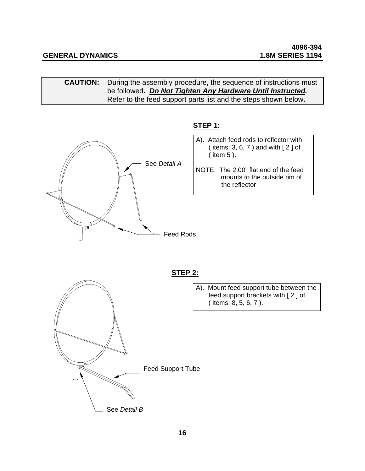#### **CAUTION:** During the assembly procedure, the sequence of instructions must be followed**.** *Do Not Tighten Any Hardware Until Instructed.*  Refer to the feed support parts list and the steps shown below**.**



# **STEP 1:**

- A). Attach feed rods to reflector with ( items: 3, 6, 7 ) and with [ 2 ] of ( item 5 ).
- NOTE: The 2.00" flat end of the feed mounts to the outside rim of the reflector



A). Mount feed support tube between the feed support brackets with [ 2 ] of ( items: 8, 5, 6, 7 ).

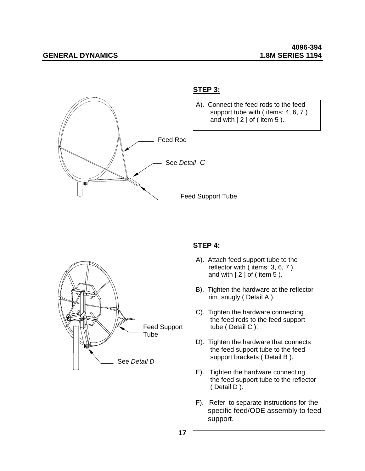



#### **STEP 4:**

- A). Attach feed support tube to the reflector with ( items: 3, 6, 7 ) and with  $[2]$  of (item 5).
- B). Tighten the hardware at the reflector rim snugly ( Detail A ).
- C). Tighten the hardware connecting the feed rods to the feed support tube ( Detail C ).
- D). Tighten the hardware that connects the feed support tube to the feed support brackets (Detail B).
- E). Tighten the hardware connecting the feed support tube to the reflector ( Detail D ).
- F). Refer to separate instructions for the specific feed/ODE assembly to feed support.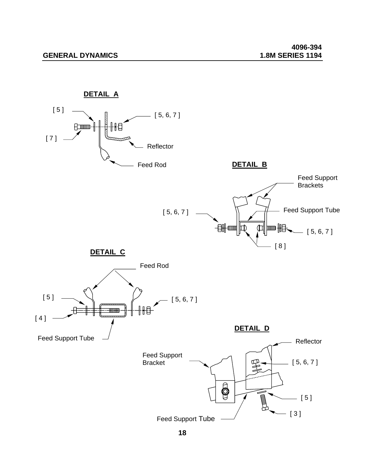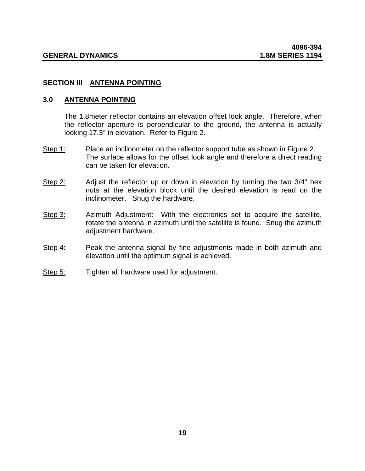#### **SECTION III ANTENNA POINTING**

#### **3.0 ANTENNA POINTING**

The 1.8meter reflector contains an elevation offset look angle. Therefore, when the reflector aperture is perpendicular to the ground, the antenna is actually looking 17.3° in elevation. Refer to Figure 2.

- Step 1: Place an inclinometer on the reflector support tube as shown in Figure 2. The surface allows for the offset look angle and therefore a direct reading can be taken for elevation.
- Step 2: Adjust the reflector up or down in elevation by turning the two 3/4" hex nuts at the elevation block until the desired elevation is read on the inclinometer. Snug the hardware.
- Step 3: Azimuth Adjustment: With the electronics set to acquire the satellite, rotate the antenna in azimuth until the satellite is found. Snug the azimuth adjustment hardware.
- Step 4: Peak the antenna signal by fine adjustments made in both azimuth and elevation until the optimum signal is achieved.
- Step 5: Tighten all hardware used for adjustment.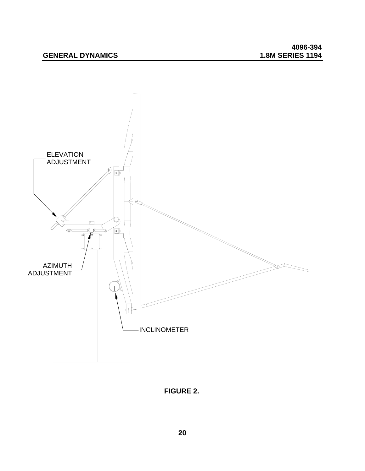# **GENERAL DYNAMICS**



## **FIGURE 2.**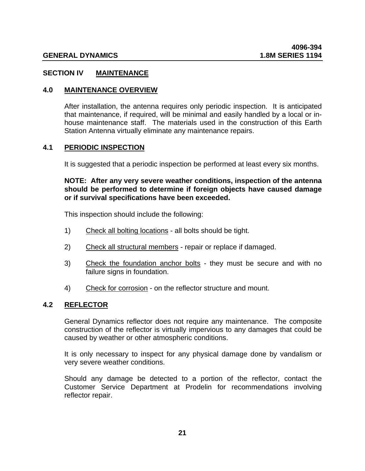#### **SECTION IV MAINTENANCE**

#### **4.0 MAINTENANCE OVERVIEW**

After installation, the antenna requires only periodic inspection. It is anticipated that maintenance, if required, will be minimal and easily handled by a local or inhouse maintenance staff. The materials used in the construction of this Earth Station Antenna virtually eliminate any maintenance repairs.

#### **4.1 PERIODIC INSPECTION**

It is suggested that a periodic inspection be performed at least every six months.

#### **NOTE: After any very severe weather conditions, inspection of the antenna should be performed to determine if foreign objects have caused damage or if survival specifications have been exceeded.**

This inspection should include the following:

- 1) Check all bolting locations all bolts should be tight.
- 2) Check all structural members repair or replace if damaged.
- 3) Check the foundation anchor bolts they must be secure and with no failure signs in foundation.
- 4) Check for corrosion on the reflector structure and mount.

#### **4.2 REFLECTOR**

General Dynamics reflector does not require any maintenance. The composite construction of the reflector is virtually impervious to any damages that could be caused by weather or other atmospheric conditions.

It is only necessary to inspect for any physical damage done by vandalism or very severe weather conditions.

Should any damage be detected to a portion of the reflector, contact the Customer Service Department at Prodelin for recommendations involving reflector repair.